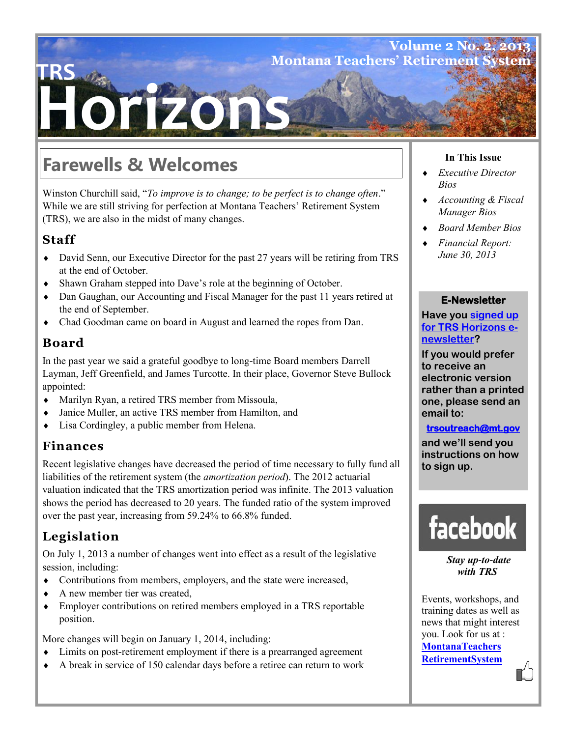## **Volume 2 No. 2 Montana Teachers' Retirement S**

# **HZO1**

# **Farewells & Welcomes**

Winston Churchill said, "*To improve is to change; to be perfect is to change often*." While we are still striving for perfection at Montana Teachers' Retirement System (TRS), we are also in the midst of many changes.

## **Staff**

**TRS**

- David Senn, our Executive Director for the past 27 years will be retiring from TRS at the end of October.
- Shawn Graham stepped into Dave's role at the beginning of October.
- Dan Gaughan, our Accounting and Fiscal Manager for the past 11 years retired at the end of September.
- Chad Goodman came on board in August and learned the ropes from Dan.

## **Board**

In the past year we said a grateful goodbye to long-time Board members Darrell Layman, Jeff Greenfield, and James Turcotte. In their place, Governor Steve Bullock appointed:

- Marilyn Ryan, a retired TRS member from Missoula,
- Janice Muller, an active TRS member from Hamilton, and
- Lisa Cordingley, a public member from Helena.

### **Finances**

Recent legislative changes have decreased the period of time necessary to fully fund all liabilities of the retirement system (the *amortization period*). The 2012 actuarial valuation indicated that the TRS amortization period was infinite. The 2013 valuation shows the period has decreased to 20 years. The funded ratio of the system improved over the past year, increasing from 59.24% to 66.8% funded.

## **Legislation**

On July 1, 2013 a number of changes went into effect as a result of the legislative session, including:

- Contributions from members, employers, and the state were increased,
- A new member tier was created,
- Employer contributions on retired members employed in a TRS reportable position.

More changes will begin on January 1, 2014, including:

- Limits on post-retirement employment if there is a prearranged agreement
- A break in service of 150 calendar days before a retiree can return to work

#### **In This Issue**

- *Executive Director Bios*
- *Accounting & Fiscal Manager Bios*
- *Board Member Bios*
- *Financial Report: June 30, 2013*

#### **E-Newsletter**

**Have you signed up for TRS Horizons enewsletter?** 

**If you would prefer to receive an electronic version rather than a printed one, please send an email to:** 

#### **trsoutreach@mt.gov**

**and we'll send you instructions on how to sign up.**



*Stay up-to-date with TRS* 

Events, workshops, and training dates as well as news that might interest you. Look for us at : **MontanaTeachers RetirementSystem**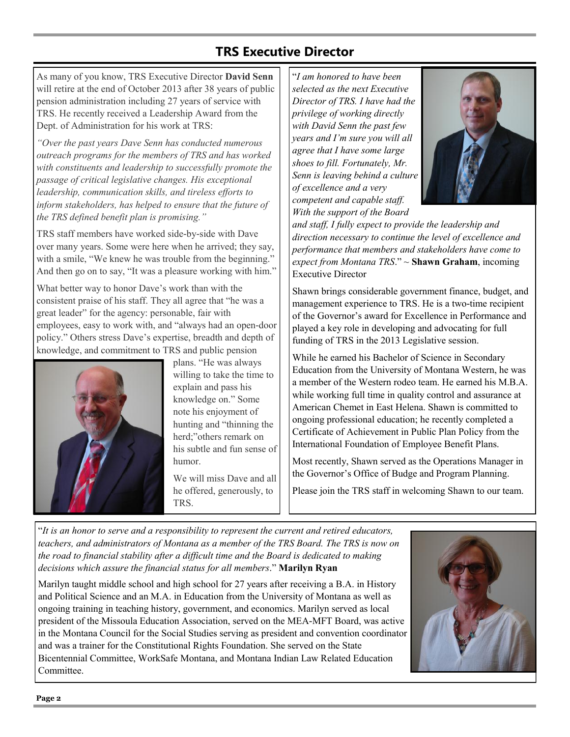## **TRS Executive Director**

As many of you know, TRS Executive Director **David Senn**  will retire at the end of October 2013 after 38 years of public pension administration including 27 years of service with TRS. He recently received a Leadership Award from the Dept. of Administration for his work at TRS:

*"Over the past years Dave Senn has conducted numerous outreach programs for the members of TRS and has worked with constituents and leadership to successfully promote the passage of critical legislative changes. His exceptional leadership, communication skills, and tireless efforts to inform stakeholders, has helped to ensure that the future of the TRS defined benefit plan is promising."*

TRS staff members have worked side-by-side with Dave over many years. Some were here when he arrived; they say, with a smile, "We knew he was trouble from the beginning." And then go on to say, "It was a pleasure working with him."

What better way to honor Dave's work than with the consistent praise of his staff. They all agree that "he was a great leader" for the agency: personable, fair with employees, easy to work with, and "always had an open-door policy." Others stress Dave's expertise, breadth and depth of knowledge, and commitment to TRS and public pension



plans. "He was always willing to take the time to explain and pass his knowledge on." Some note his enjoyment of hunting and "thinning the herd;"others remark on his subtle and fun sense of humor.

We will miss Dave and all he offered, generously, to TRS.

"*I am honored to have been selected as the next Executive Director of TRS. I have had the privilege of working directly with David Senn the past few years and I'm sure you will all agree that I have some large shoes to fill. Fortunately, Mr. Senn is leaving behind a culture of excellence and a very competent and capable staff. With the support of the Board* 



*and staff, I fully expect to provide the leadership and direction necessary to continue the level of excellence and performance that members and stakeholders have come to expect from Montana TRS*." ~ **Shawn Graham**, incoming Executive Director

Shawn brings considerable government finance, budget, and management experience to TRS. He is a two-time recipient of the Governor's award for Excellence in Performance and played a key role in developing and advocating for full funding of TRS in the 2013 Legislative session.

While he earned his Bachelor of Science in Secondary Education from the University of Montana Western, he was a member of the Western rodeo team. He earned his M.B.A. while working full time in quality control and assurance at American Chemet in East Helena. Shawn is committed to ongoing professional education; he recently completed a Certificate of Achievement in Public Plan Policy from the International Foundation of Employee Benefit Plans.

Most recently, Shawn served as the Operations Manager in the Governor's Office of Budge and Program Planning.

Please join the TRS staff in welcoming Shawn to our team.

"*It is an honor to serve and a responsibility to represent the current and retired educators, teachers, and administrators of Montana as a member of the TRS Board. The TRS is now on the road to financial stability after a difficult time and the Board is dedicated to making decisions which assure the financial status for all members*." **Marilyn Ryan** 

Marilyn taught middle school and high school for 27 years after receiving a B.A. in History and Political Science and an M.A. in Education from the University of Montana as well as ongoing training in teaching history, government, and economics. Marilyn served as local president of the Missoula Education Association, served on the MEA-MFT Board, was active in the Montana Council for the Social Studies serving as president and convention coordinator and was a trainer for the Constitutional Rights Foundation. She served on the State Bicentennial Committee, WorkSafe Montana, and Montana Indian Law Related Education Committee.

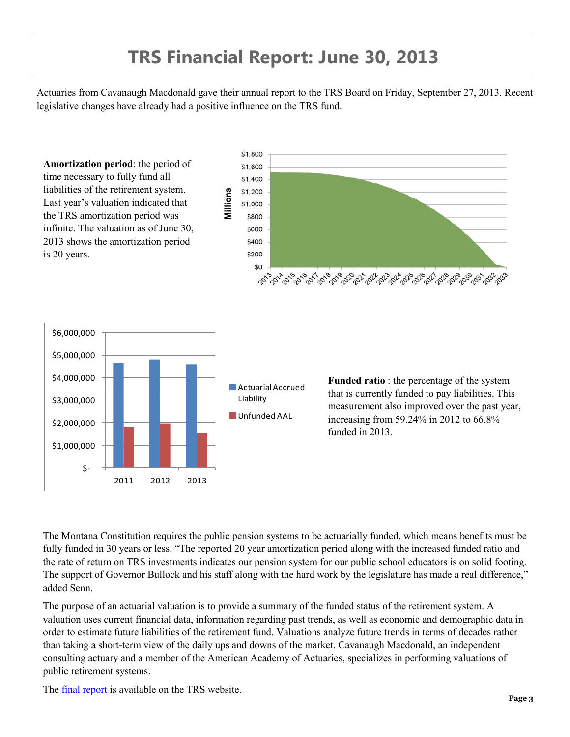# **TRS Financial Report: June 30, 2013**

Actuaries from Cavanaugh Macdonald gave their annual report to the TRS Board on Friday, September 27, 2013. Recent legislative changes have already had a positive influence on the TRS fund.





**Funded ratio** : the percentage of the system that is currently funded to pay liabilities. This measurement also improved over the past year, increasing from 59.24% in 2012 to 66.8% funded in 2013.

The Montana Constitution requires the public pension systems to be actuarially funded, which means benefits must be fully funded in 30 years or less. "The reported 20 year amortization period along with the increased funded ratio and the rate of return on TRS investments indicates our pension system for our public school educators is on solid footing. The support of Governor Bullock and his staff along with the hard work by the legislature has made a real difference," added Senn.

The purpose of an actuarial valuation is to provide a summary of the funded status of the retirement system. A valuation uses current financial data, information regarding past trends, as well as economic and demographic data in order to estimate future liabilities of the retirement fund. Valuations analyze future trends in terms of decades rather than taking a short-term view of the daily ups and downs of the market. Cavanaugh Macdonald, an independent consulting actuary and a member of the American Academy of Actuaries, specializes in performing valuations of public retirement systems.

The final report is available on the TRS website.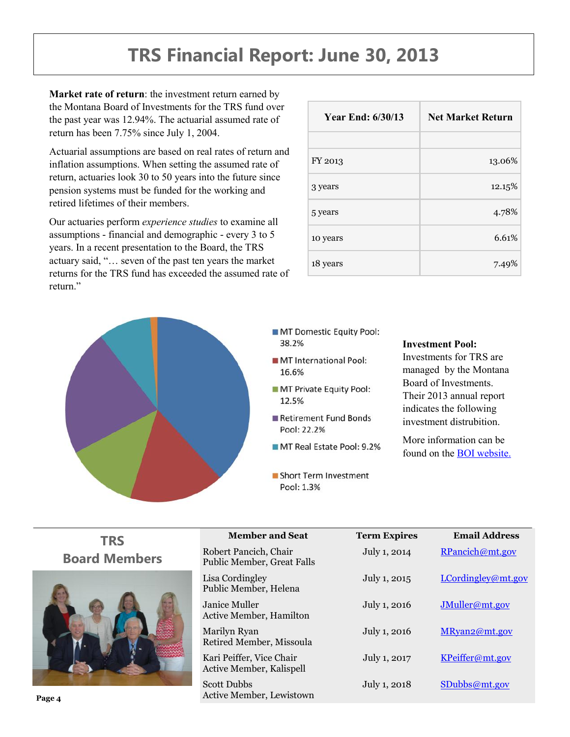## **TRS Financial Report: June 30, 2013**

**Market rate of return**: the investment return earned by the Montana Board of Investments for the TRS fund over the past year was 12.94%. The actuarial assumed rate of return has been 7.75% since July 1, 2004.

Actuarial assumptions are based on real rates of return and inflation assumptions. When setting the assumed rate of return, actuaries look 30 to 50 years into the future since pension systems must be funded for the working and retired lifetimes of their members.

Our actuaries perform *experience studies* to examine all assumptions - financial and demographic - every 3 to 5 years. In a recent presentation to the Board, the TRS actuary said, "… seven of the past ten years the market returns for the TRS fund has exceeded the assumed rate of return<sup>"</sup>

| <b>Year End: 6/30/13</b> | <b>Net Market Return</b> |  |
|--------------------------|--------------------------|--|
|                          |                          |  |
| FY 2013                  | 13.06%                   |  |
| 3 years                  | 12.15%                   |  |
| 5 years                  | 4.78%                    |  |
| 10 years                 | 6.61%                    |  |
| 18 years                 | 7.49%                    |  |



- MT Domestic Equity Pool: 38.2%
- MT International Pool: 16.6%
- MT Private Equity Pool: 12.5%
- Retirement Fund Bonds Pool: 22.2%
- MT Real Estate Pool: 9.2%
- Short Term Investment Pool: 1.3%

#### **Investment Pool:**

Investments for TRS are managed by the Montana Board of Investments. Their 2013 annual report indicates the following investment distrubition.

More information can be found on the BOI website.

| <b>TRS</b>           | <b>Member and Seat</b>                                | <b>Term Expires</b> | <b>Email Address</b> |
|----------------------|-------------------------------------------------------|---------------------|----------------------|
| <b>Board Members</b> | Robert Pancich, Chair<br>Public Member, Great Falls   | July 1, 2014        | RPancich@mt.gov      |
|                      | Lisa Cordingley<br>Public Member, Helena              | July 1, 2015        | LCordingley@mt.gov   |
|                      | Janice Muller<br>Active Member, Hamilton              | July 1, 2016        | JMuller@mt.gov       |
|                      | Marilyn Ryan<br>Retired Member, Missoula              | July 1, 2016        | MRyan2@mt.gov        |
|                      | Kari Peiffer, Vice Chair<br>Active Member, Kalispell  | July 1, 2017        | KPeiffer@mt.gov      |
| Page 4               | <b>Scott Dubbs</b><br><b>Active Member, Lewistown</b> | July 1, 2018        | SDubbs@mt.gov        |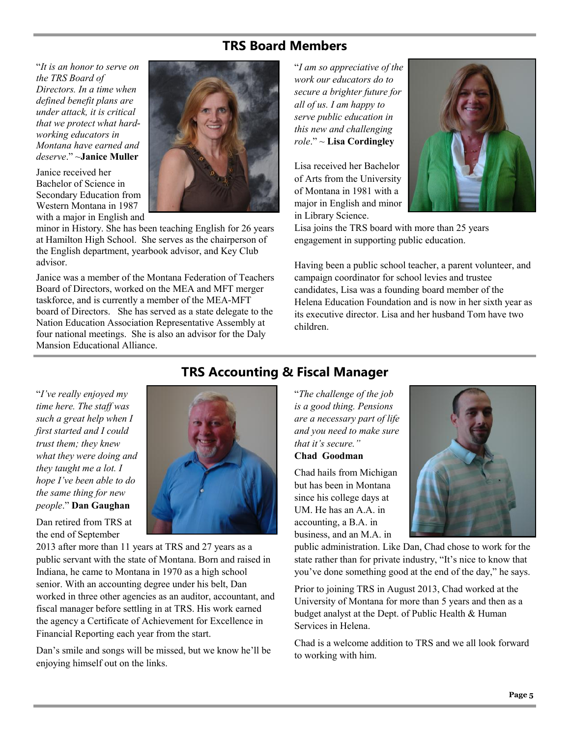## **TRS Board Members**

"*It is an honor to serve on the TRS Board of Directors. In a time when defined benefit plans are under attack, it is critical that we protect what hardworking educators in Montana have earned and deserve*." ~**Janice Muller**

Janice received her Bachelor of Science in Secondary Education from Western Montana in 1987 with a major in English and



minor in History. She has been teaching English for 26 years at Hamilton High School. She serves as the chairperson of the English department, yearbook advisor, and Key Club advisor.

Janice was a member of the Montana Federation of Teachers Board of Directors, worked on the MEA and MFT merger taskforce, and is currently a member of the MEA-MFT board of Directors. She has served as a state delegate to the Nation Education Association Representative Assembly at four national meetings. She is also an advisor for the Daly Mansion Educational Alliance.

"*I am so appreciative of the work our educators do to secure a brighter future for all of us. I am happy to serve public education in this new and challenging role*." ~ **Lisa Cordingley**

Lisa received her Bachelor of Arts from the University of Montana in 1981 with a major in English and minor in Library Science.



Lisa joins the TRS board with more than 25 years engagement in supporting public education.

Having been a public school teacher, a parent volunteer, and campaign coordinator for school levies and trustee candidates, Lisa was a founding board member of the Helena Education Foundation and is now in her sixth year as its executive director. Lisa and her husband Tom have two children.

"*I've really enjoyed my time here. The staff was such a great help when I first started and I could trust them; they knew what they were doing and they taught me a lot. I hope I've been able to do the same thing for new people*." **Dan Gaughan**

Dan retired from TRS at the end of September

2013 after more than 11 years at TRS and 27 years as a public servant with the state of Montana. Born and raised in Indiana, he came to Montana in 1970 as a high school senior. With an accounting degree under his belt, Dan worked in three other agencies as an auditor, accountant, and fiscal manager before settling in at TRS. His work earned the agency a Certificate of Achievement for Excellence in Financial Reporting each year from the start.

Dan's smile and songs will be missed, but we know he'll be enjoying himself out on the links.

## **TRS Accounting & Fiscal Manager**

"*The challenge of the job is a good thing. Pensions are a necessary part of life and you need to make sure that it's secure."*  **Chad Goodman**

Chad hails from Michigan but has been in Montana since his college days at UM. He has an A.A. in accounting, a B.A. in business, and an M.A. in



public administration. Like Dan, Chad chose to work for the state rather than for private industry, "It's nice to know that you've done something good at the end of the day," he says.

Prior to joining TRS in August 2013, Chad worked at the University of Montana for more than 5 years and then as a budget analyst at the Dept. of Public Health & Human Services in Helena.

Chad is a welcome addition to TRS and we all look forward to working with him.